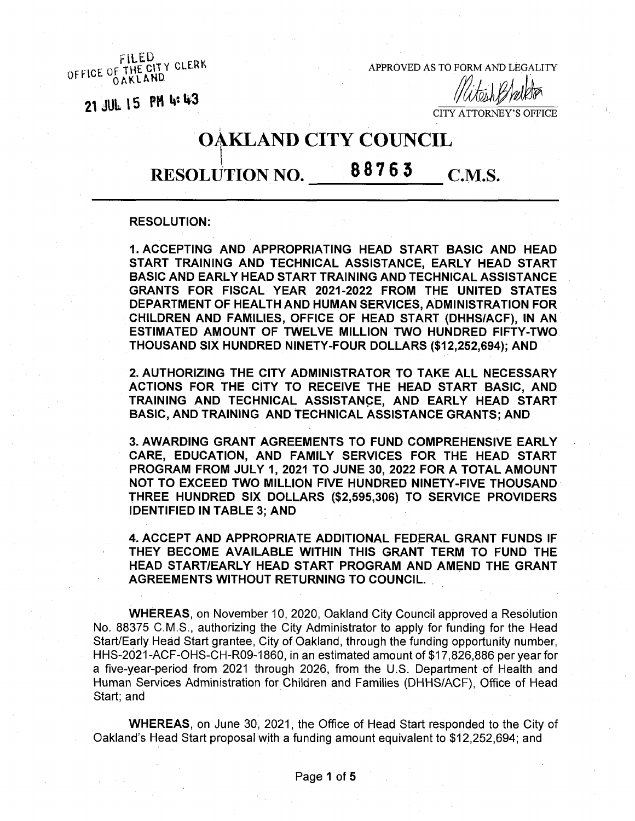**OF THE CITY CLERK** OFFICE OF THE CITY CLEAN<br>
OAKLAND
OAKLAND
OAKLAND
OAKLAND
OAKLAND
OAKLAND
OAKLAND
OAKLAND
OAKLAND
OAKLAND
OAKLAND
OAKLAND
OAKLAND
OAKLAND
OAKLAND
OAKLAND
OAKLAND
OAKLAND
OAKLAND
OAKLAND
OAKLAND
OAKLAND
OAKLAND
OAKLAND
OAKL

**21 JUL 15 PH M 1\*3**

CITY ATTORNEY'S OFFICE

# OAKLAND CITY COUNCIL

## RESOLUTION NO. 88763 C.M.S.

#### **RESOLUTION:**

**1. ACCEPTING AND APPROPRIATING HEAD START BASIC AND HEAD START TRAINING AND TECHNICAL ASSISTANCE, EARLY HEAD START BASIC AND EARLY HEAD START TRAINING AND TECHNICAL ASSISTANCE GRANTS FOR FISCAL YEAR 2021-2022 FROM THE UNITED STATES DEPARTMENT OF HEALTH AND HUMAN SERVICES, ADMINISTRATION FOR CHILDREN AND FAMILIES, OFFICE OF HEAD START (DHHS/ACF), IN AN ESTIMATED AMOUNT OF TWELVE MILLION TWO HUNDRED FIFTY-TWO THOUSAND SIX HUNDRED NINETY-FOUR DOLLARS (\$12,252,694); AND**

**2. AUTHORIZING THE CITY ADMINISTRATOR TO TAKE ALL NECESSARY ACTIONS FOR THE CITY TO RECEIVE THE HEAD START BASIC, AND TRAINING AND TECHNICAL ASSISTANCE, AND EARLY HEAD START BASIC, AND TRAINING AND TECHNICAL ASSISTANCE GRANTS; AND**

**3. AWARDING GRANT AGREEMENTS TO FUND COMPREHENSIVE EARLY CARE, EDUCATION, AND FAMILY SERVICES FOR THE HEAD START PROGRAM FROM JULY 1, 2021 TO JUNE 30, 2022 FOR A TOTAL AMOUNT NOT TO EXCEED TWO MILLION FIVE HUNDRED NINETY-FIVE THOUSAND THREE HUNDRED SIX DOLLARS (\$2,595,306) TO SERVICE PROVIDERS IDENTIFIED IN TABLE 3; AND**

**4. ACCEPT AND APPROPRIATE ADDITIONAL FEDERAL GRANT FUNDS IF THEY BECOME AVAILABLE WITHIN THIS GRANT TERM TO FUND THE HEAD START/EARLY HEAD START PROGRAM AND AMEND THE GRANT AGREEMENTS WITHOUT RETURNING TO COUNCIL.**

**WHEREAS,** on November 10, 2020, Oakland City Council approved a Resolution No. 88375 C.M.S., authorizing the City Administrator to apply for funding for the Head Start/Early Head Start grantee, City of Oakland, through the funding opportunity number, HHS-2021-ACF-OHS-CH-R09-1860, in an estimated amount of \$17,826,886 per year for a five-year-period from 2021 through 2026, from the U.S. Department of Health and Human Services Administration for Children and Families (DHHS/ACF), Office of Head Start; and

**WHEREAS,** on June 30, 2021, the Office of Head Start responded to the City of Oakland's Head Start proposal with a funding amount equivalent to \$12,252,694; and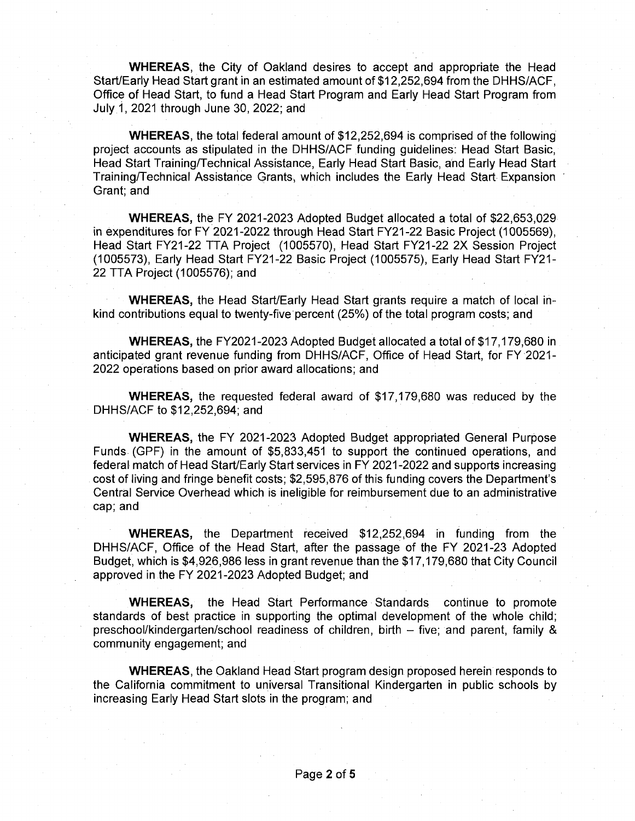**WHEREAS,** the City of Oakland desires to accept and appropriate the Head Start/Early Head Start grant in an estimated amount of \$12,252,694 from the DHHS/ACF, Office of Head Start, to fund a Head Start Program and Early Head Start Program from July 1, 2021 through June 30, 2022; and

**WHEREAS,** the total federal amount of \$12,252,694 is comprised of the following project accounts as stipulated in the DHHS/ACF funding guidelines: Head Start Basic, Head Start Training/Technical Assistance, Early Head Start Basic, and Early Head Start Training/Technical Assistance Grants, which includes the Early Head Start Expansion Grant; and

**WHEREAS,** the FY 2021-2023 Adopted Budget allocated a total of \$22,653,029 in expenditures for FY 2021-2022 through Head Start FY21-22 Basic Project (1005569), Head Start FY21-22 TTA Project (1005570), Head Start FY21-22 2X Session Project (1005573), Early Head Start FY21-22 Basic Project (1005575), Early Head Start FY21- 22 TTA Project (1005576); and

**WHEREAS,** the Head Start/Early Head Start grants require a match of local inkind contributions equal to twenty-five percent (25%) of the total program costs; and

**WHEREAS,** the FY2021-2023 Adopted Budget allocated a total of \$17,179,680 in anticipated grant revenue funding from DHHS/ACF, Office of Head Start, for FY 2021- 2022 operations based on prior award allocations; and

**WHEREAS,** the requested federal award of \$17,179,680 was reduced by the DHHS/ACF to \$12,252,694; and

**WHEREAS,** the FY 2021-2023 Adopted Budget appropriated General Purpose Funds (GPF) in the amount of \$5,833,451 to support the continued operations, and federal match of Head Start/Early Start services in FY 2021-2022 and supports increasing cost of living and fringe benefit costs; \$2,595,876 of this funding covers the Department's Central Service Overhead which is ineligible for reimbursement due to an administrative cap; and

**WHEREAS,** the Department received \$12,252,694 in funding from the DHHS/ACF, Office of the Head Start, after the passage of the FY 2021-23 Adopted Budget, which is \$4,926,986 less in grant revenue than the \$17,179,680 that City Council approved in the FY 2021-2023 Adopted Budget; and

**WHEREAS,** the Head Start Performance Standards continue to promote standards of best practice in supporting the optimal development of the whole child; preschool/kindergarten/school readiness of children, birth  $-$  five; and parent, family & community engagement; and

**WHEREAS,** the Oakland Head Start program design proposed herein responds to the California commitment to universal Transitional Kindergarten in public schools by increasing Early Head Start slots in the program; and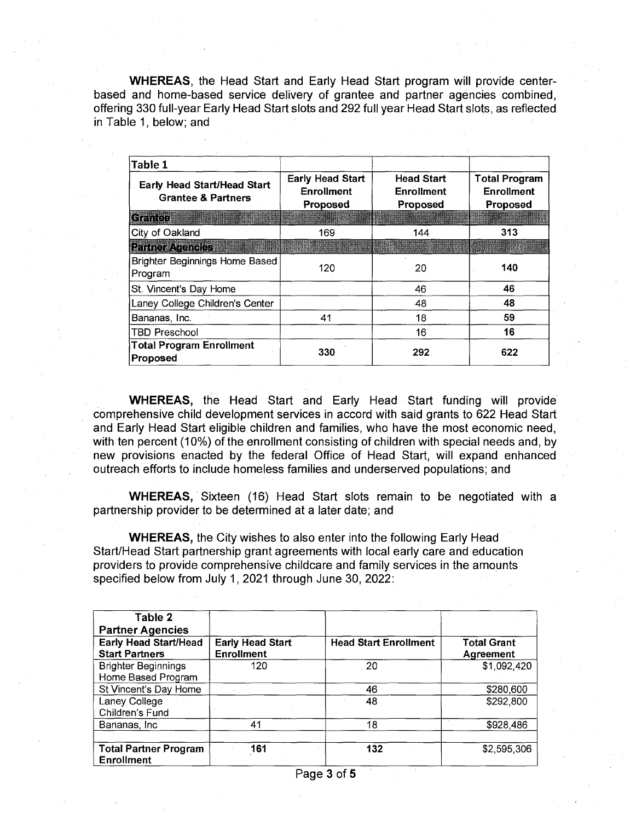**WHEREAS,** the Head Start and Early Head Start program will provide centerbased and home-based service delivery of grantee and partner agencies combined, offering 330 full-year Early Head Start slots and 292 full year Head Start slots, as reflected in Table 1, below; and

| Table 1                                                             |                                                          |                                                    |                                                       |
|---------------------------------------------------------------------|----------------------------------------------------------|----------------------------------------------------|-------------------------------------------------------|
| <b>Early Head Start/Head Start</b><br><b>Grantee &amp; Partners</b> | <b>Early Head Start</b><br><b>Enrollment</b><br>Proposed | <b>Head Start</b><br><b>Enrollment</b><br>Proposed | <b>Total Program</b><br><b>Enrollment</b><br>Proposed |
| Grantee                                                             |                                                          |                                                    |                                                       |
| City of Oakland                                                     | 169                                                      | .144                                               | 313                                                   |
| <b>Partner Agencies</b>                                             |                                                          |                                                    |                                                       |
| Brighter Beginnings Home Based<br>Program                           | 120                                                      | 20                                                 | 140                                                   |
| St. Vincent's Day Home                                              |                                                          | 46                                                 | 46                                                    |
| Laney College Children's Center                                     |                                                          | .48                                                | 48                                                    |
| Bananas, Inc.                                                       | 41                                                       | 18                                                 | 59                                                    |
| <b>TBD Preschool</b>                                                |                                                          | 16                                                 | 16                                                    |
| <b>Total Program Enrollment</b><br>Proposed                         | 330                                                      | 292                                                | 622                                                   |

**WHEREAS,** the Head Start and Early Head Start funding will provide comprehensive child development services in accord with said grants to 622 Head Start and Early Head Start eligible children and families, who have the most economic need, with ten percent (10%) of the enrollment consisting of children with special needs and, by new provisions enacted by the federal Office of Head Start, will expand enhanced outreach efforts to include homeless families and underserved populations; and

**WHEREAS,** Sixteen (16) Head Start slots remain to be negotiated with a partnership provider to be determined at a later date; and

**WHEREAS,** the City wishes to also enter into the following Early Head Start/Head Start partnership grant agreements with local early care and education providers to provide comprehensive childcare and family services in the amounts specified below from July 1,2021 through June 30, 2022:

| Table 2<br><b>Partner Agencies</b>                    |                                              |                              |                                        |
|-------------------------------------------------------|----------------------------------------------|------------------------------|----------------------------------------|
| <b>Early Head Start/Head</b><br><b>Start Partners</b> | <b>Early Head Start</b><br><b>Enrollment</b> | <b>Head Start Enrollment</b> | <b>Total Grant</b><br><b>Agreement</b> |
| <b>Brighter Beginnings</b><br>Home Based Program      | 120                                          | -20                          | \$1,092,420                            |
| St Vincent's Day Home                                 |                                              | 46                           | \$280,600                              |
| Laney College<br>Children's Fund                      |                                              | 48                           | \$292,800                              |
| Bananas, Inc.                                         | 41                                           | 18                           | \$928,486                              |
| <b>Total Partner Program</b><br><b>Enrollment</b>     | 161                                          | 132                          | \$2,595,306                            |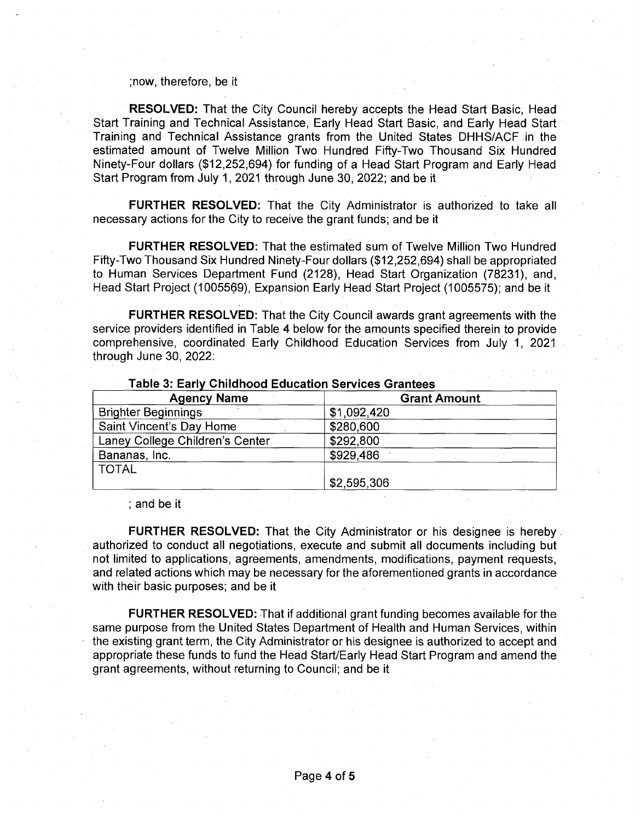#### ;now, therefore, be it

**RESOLVED:** That the City Council hereby accepts the Head Start Basic, Head Start Training and Technical Assistance, Early Head Start Basic, and Early Head Start Training and Technical Assistance grants from the United States DHHS/ACF in the estimated amount of Twelve Million Two Hundred Fifty-Two Thousand Six Hundred Ninety-Four dollars (\$12,252,694) for funding of a Head Start Program and Early Head Start Program from July 1,2021 through June 30, 2022; and be it

**FURTHER RESOLVED:** That the City Administrator is authorized to take all necessary actions for the City to receive the grant funds; and be it

**FURTHER RESOLVED:** That the estimated sum of Twelve Million Two Hundred Fifty-Two Thousand Six Hundred Ninety-Four dollars (\$12,252,694) shall be appropriated to Human Services Department Fund (2128), Head Start Organization (78231), and, Head Start Project (1005569), Expansion Early Head Start Project (1005575); and be it

**FURTHER RESOLVED:** That the City Council awards grant agreements with the service providers identified in Table 4 below for the amounts specified therein to provide comprehensive, coordinated Early Childhood Education Services from July 1, 2021 through June 30, 2022:

| $14000$ of Early of manova Eugoation our note oranteed |                     |  |  |
|--------------------------------------------------------|---------------------|--|--|
| <b>Agency Name</b>                                     | <b>Grant Amount</b> |  |  |
| <b>Brighter Beginnings</b>                             | \$1,092,420         |  |  |
| Saint Vincent's Day Home                               | \$280,600           |  |  |
| Laney College Children's Center                        | \$292,800           |  |  |
| Bananas, Inc.                                          | \$929,486           |  |  |
| <b>TOTAL</b>                                           |                     |  |  |
|                                                        | \$2,595,306         |  |  |

### **Table 3: Early Childhood Education Services Grantees**

; and be it

**FURTHER RESOLVED:** That the City Administrator or his designee is hereby authorized to conduct all negotiations, execute and submit all documents including but not limited to applications, agreements, amendments, modifications, payment requests, and related actions which may be necessary for the aforementioned grants in accordance with their basic purposes; and be it

**FURTHER RESOLVED:** That if additional grant funding becomes available for the same purpose from the United States Department of Health and Human Services, within the existing grant term, the City Administrator or his designee is authorized to accept and appropriate these funds to fund the Head Start/Early Head Start Program and amend the grant agreements, without returning to Council; and be it